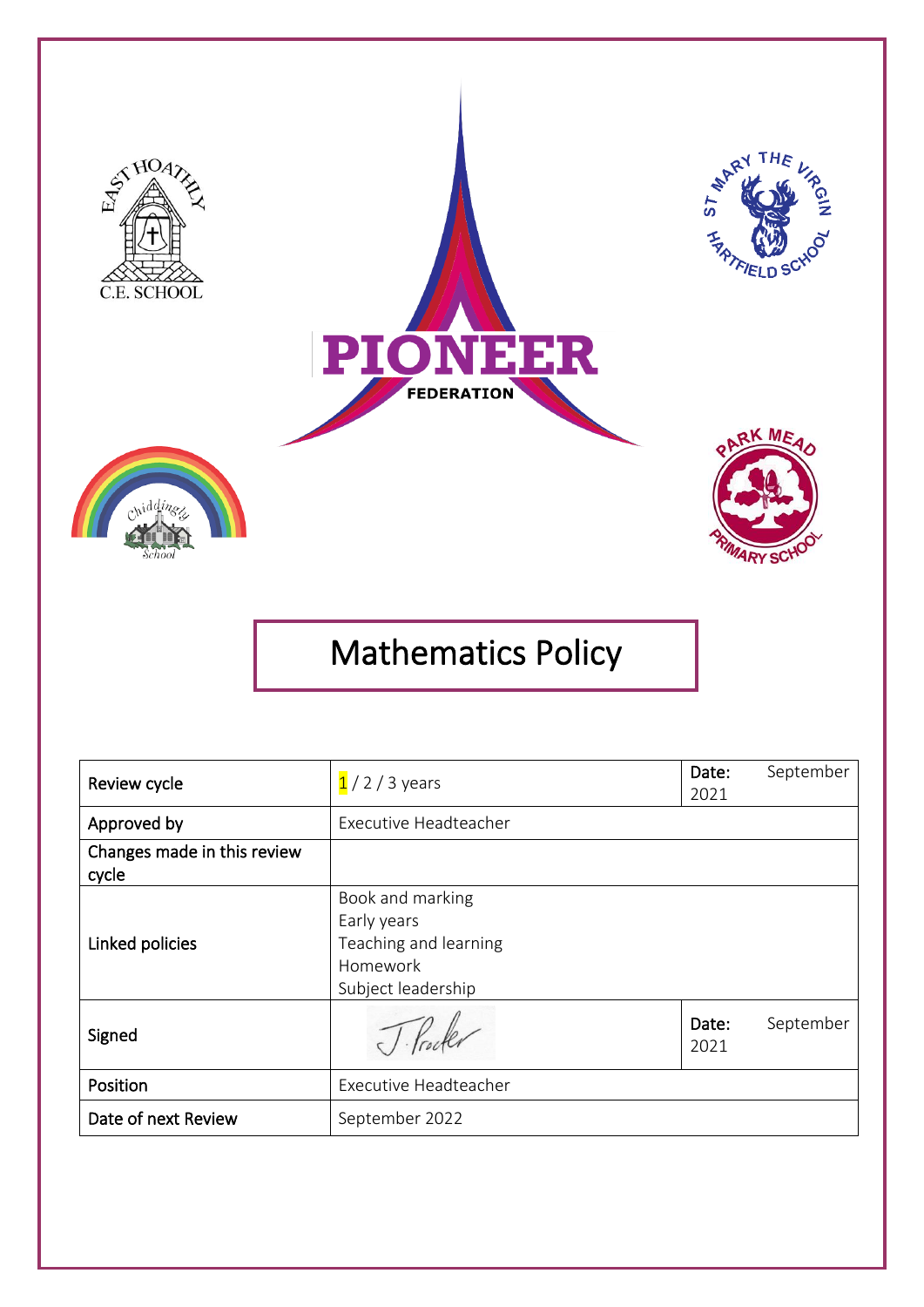

# Mathematics Policy

| Review cycle                         | $1/2/3$ years                                                                              | Date:<br>2021 | September |
|--------------------------------------|--------------------------------------------------------------------------------------------|---------------|-----------|
| Approved by                          | Executive Headteacher                                                                      |               |           |
| Changes made in this review<br>cycle |                                                                                            |               |           |
| Linked policies                      | Book and marking<br>Early years<br>Teaching and learning<br>Homework<br>Subject leadership |               |           |
| Signed                               |                                                                                            | Date:<br>2021 | September |
| Position                             | Executive Headteacher                                                                      |               |           |
| Date of next Review                  | September 2022                                                                             |               |           |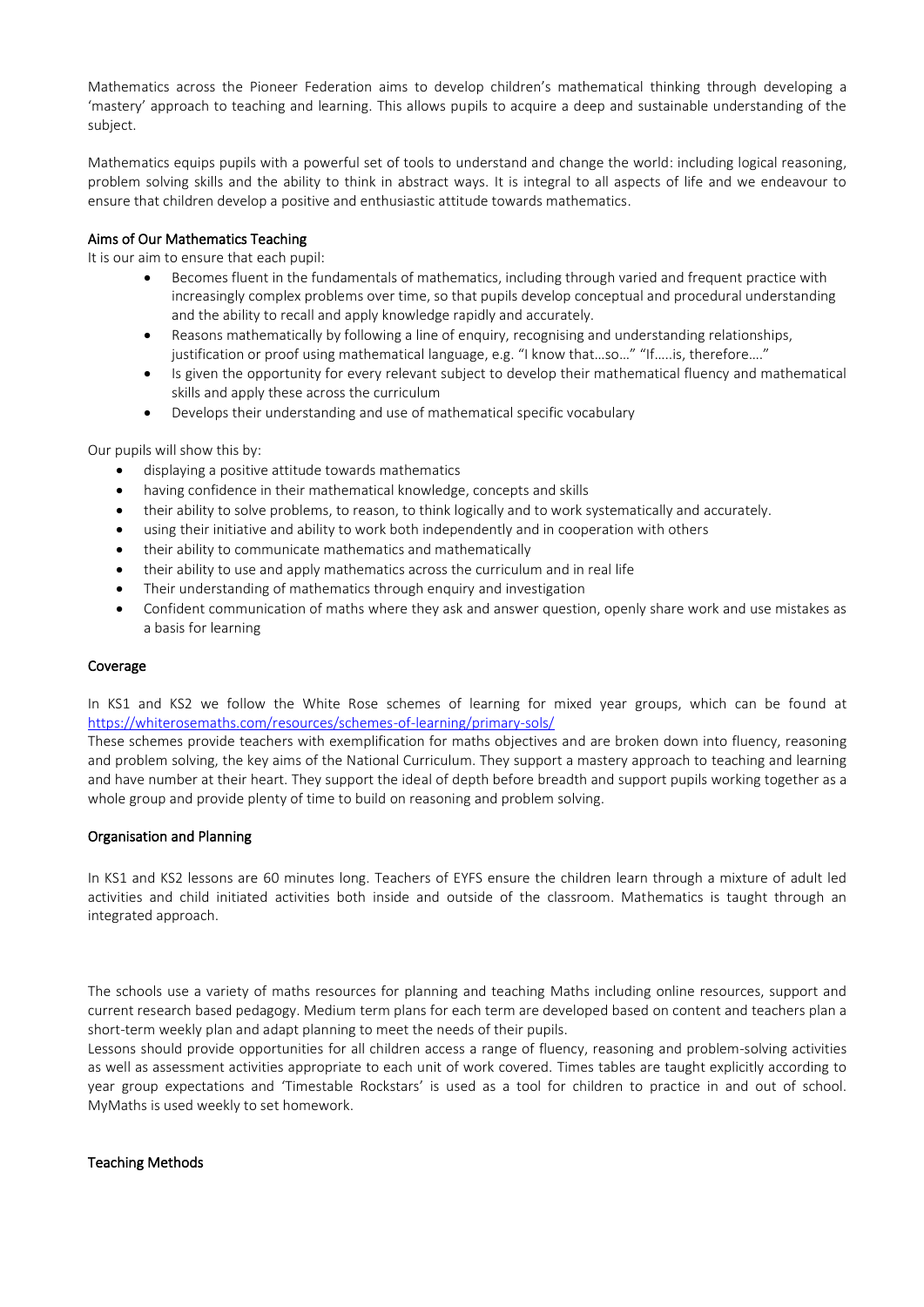Mathematics across the Pioneer Federation aims to develop children's mathematical thinking through developing a 'mastery' approach to teaching and learning. This allows pupils to acquire a deep and sustainable understanding of the subject.

Mathematics equips pupils with a powerful set of tools to understand and change the world: including logical reasoning, problem solving skills and the ability to think in abstract ways. It is integral to all aspects of life and we endeavour to ensure that children develop a positive and enthusiastic attitude towards mathematics.

## Aims of Our Mathematics Teaching

It is our aim to ensure that each pupil:

- Becomes fluent in the fundamentals of mathematics, including through varied and frequent practice with increasingly complex problems over time, so that pupils develop conceptual and procedural understanding and the ability to recall and apply knowledge rapidly and accurately.
- Reasons mathematically by following a line of enquiry, recognising and understanding relationships, justification or proof using mathematical language, e.g. "I know that…so…" "If…..is, therefore…."
- Is given the opportunity for every relevant subject to develop their mathematical fluency and mathematical skills and apply these across the curriculum
- Develops their understanding and use of mathematical specific vocabulary

Our pupils will show this by:

- displaying a positive attitude towards mathematics
- having confidence in their mathematical knowledge, concepts and skills
- their ability to solve problems, to reason, to think logically and to work systematically and accurately.
- using their initiative and ability to work both independently and in cooperation with others
- their ability to communicate mathematics and mathematically
- their ability to use and apply mathematics across the curriculum and in real life
- Their understanding of mathematics through enquiry and investigation
- Confident communication of maths where they ask and answer question, openly share work and use mistakes as a basis for learning

## Coverage

In KS1 and KS2 we follow the White Rose schemes of learning for mixed year groups, which can be found at <https://whiterosemaths.com/resources/schemes-of-learning/primary-sols/>

These schemes provide teachers with exemplification for maths objectives and are broken down into fluency, reasoning and problem solving, the key aims of the National Curriculum. They support a mastery approach to teaching and learning and have number at their heart. They support the ideal of depth before breadth and support pupils working together as a whole group and provide plenty of time to build on reasoning and problem solving.

## Organisation and Planning

In KS1 and KS2 lessons are 60 minutes long. Teachers of EYFS ensure the children learn through a mixture of adult led activities and child initiated activities both inside and outside of the classroom. Mathematics is taught through an integrated approach.

The schools use a variety of maths resources for planning and teaching Maths including online resources, support and current research based pedagogy. Medium term plans for each term are developed based on content and teachers plan a short-term weekly plan and adapt planning to meet the needs of their pupils.

Lessons should provide opportunities for all children access a range of fluency, reasoning and problem-solving activities as well as assessment activities appropriate to each unit of work covered. Times tables are taught explicitly according to year group expectations and 'Timestable Rockstars' is used as a tool for children to practice in and out of school. MyMaths is used weekly to set homework.

## Teaching Methods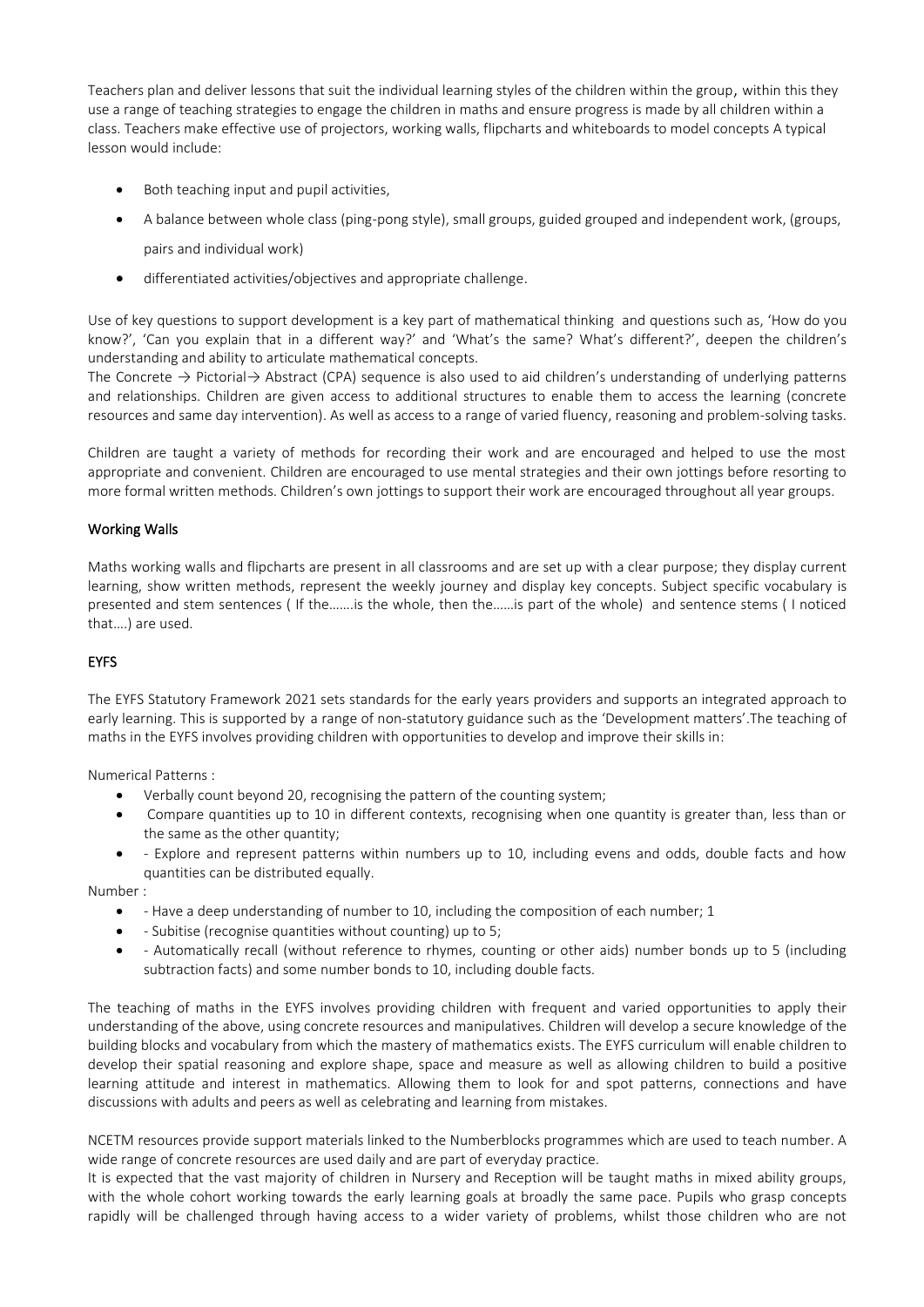Teachers plan and deliver lessons that suit the individual learning styles of the children within the group, within this they use a range of teaching strategies to engage the children in maths and ensure progress is made by all children within a class. Teachers make effective use of projectors, working walls, flipcharts and whiteboards to model concepts A typical lesson would include:

- Both teaching input and pupil activities,
- A balance between whole class (ping-pong style), small groups, guided grouped and independent work, (groups, pairs and individual work)
- differentiated activities/objectives and appropriate challenge.

Use of key questions to support development is a key part of mathematical thinking and questions such as, 'How do you know?', 'Can you explain that in a different way?' and 'What's the same? What's different?', deepen the children's understanding and ability to articulate mathematical concepts.

The Concrete → Pictorial→ Abstract (CPA) sequence is also used to aid children's understanding of underlying patterns and relationships. Children are given access to additional structures to enable them to access the learning (concrete resources and same day intervention). As well as access to a range of varied fluency, reasoning and problem-solving tasks.

Children are taught a variety of methods for recording their work and are encouraged and helped to use the most appropriate and convenient. Children are encouraged to use mental strategies and their own jottings before resorting to more formal written methods. Children's own jottings to support their work are encouraged throughout all year groups.

# Working Walls

Maths working walls and flipcharts are present in all classrooms and are set up with a clear purpose; they display current learning, show written methods, represent the weekly journey and display key concepts. Subject specific vocabulary is presented and stem sentences ( If the…….is the whole, then the……is part of the whole) and sentence stems ( I noticed that….) are used.

## EYFS

The EYFS Statutory Framework 2021 sets standards for the early years providers and supports an integrated approach to early learning. This is supported by a range of non-statutory guidance such as the 'Development matters'.The teaching of maths in the EYFS involves providing children with opportunities to develop and improve their skills in:

Numerical Patterns :

- Verbally count beyond 20, recognising the pattern of the counting system;
- Compare quantities up to 10 in different contexts, recognising when one quantity is greater than, less than or the same as the other quantity;
- - Explore and represent patterns within numbers up to 10, including evens and odds, double facts and how quantities can be distributed equally.

Number :

- - Have a deep understanding of number to 10, including the composition of each number; 1
- - Subitise (recognise quantities without counting) up to 5;
- - Automatically recall (without reference to rhymes, counting or other aids) number bonds up to 5 (including subtraction facts) and some number bonds to 10, including double facts.

The teaching of maths in the EYFS involves providing children with frequent and varied opportunities to apply their understanding of the above, using concrete resources and manipulatives. Children will develop a secure knowledge of the building blocks and vocabulary from which the mastery of mathematics exists. The EYFS curriculum will enable children to develop their spatial reasoning and explore shape, space and measure as well as allowing children to build a positive learning attitude and interest in mathematics. Allowing them to look for and spot patterns, connections and have discussions with adults and peers as well as celebrating and learning from mistakes.

NCETM resources provide support materials linked to the Numberblocks programmes which are used to teach number. A wide range of concrete resources are used daily and are part of everyday practice.

It is expected that the vast majority of children in Nursery and Reception will be taught maths in mixed ability groups, with the whole cohort working towards the early learning goals at broadly the same pace. Pupils who grasp concepts rapidly will be challenged through having access to a wider variety of problems, whilst those children who are not